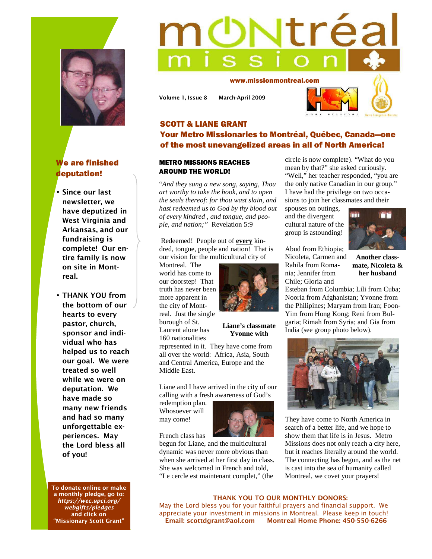

# We are finished deputation!

- **Since our last newsletter, we have deputized in West Virginia and Arkansas, and our fundraising is complete! Our entire family is now on site in Montreal.**
- **THANK YOU from the bottom of our hearts to every pastor, church, sponsor and individual who has helped us to reach our goal. We were treated so well while we were on deputation. We have made so many new friends and had so many unforgettable experiences. May the Lord bless all of you!**

**To donate online or make a monthly pledge, go to:**  *https://wec.upci.org/ webgifts/pledges* **and click on "Missionary Scott Grant"** 

# **Ntréa**

www.missionmontreal.com

**Volume 1, Issue 8 March-April 2009** 



## SCOTT & LIANE GRANT Your Metro Missionaries to Montréal, Québec, Canada—one of the most unevangelized areas in all of North America!

### METRO MISSIONS REACHES AROUND THE WORLD!

"*And they sung a new song, saying, Thou art worthy to take the book, and to open the seals thereof: for thou wast slain, and hast redeemed us to God by thy blood out of every kindred , and tongue, and people, and nation;"* Revelation 5:9

 Redeemed! People out of **every** kindred, tongue, people and nation! That is our vision for the multicultural city of

Montreal. The world has come to our doorstep! That truth has never been more apparent in the city of Montreal. Just the single borough of St. Laurent alone has 160 nationalities



**Liane's classmate Yvonne with** 

represented in it. They have come from all over the world: Africa, Asia, South and Central America, Europe and the Middle East.

Liane and I have arrived in the city of our calling with a fresh awareness of God's

redemption plan. Whosoever will may come!

French class has

begun for Liane, and the multicultural dynamic was never more obvious than when she arrived at her first day in class. She was welcomed in French and told, "Le cercle est maintenant complet," (the

circle is now complete). "What do you mean by that?" she asked curiously. "Well," her teacher responded, "you are the only native Canadian in our group." I have had the privilege on two occasions to join her classmates and their

spouses on outings, and the divergent cultural nature of the group is astounding!

Abud from Ethiopia; Nicoleta, Carmen and Rahila from Romania; Jennifer from Chile; Gloria and



**Another classmate, Nicoleta & her husband** 

Esteban from Columbia; Lili from Cuba; Nooria from Afghanistan; Yvonne from the Philipines; Maryam from Iran; Foon-Yim from Hong Kong; Reni from Bulgaria; Rimah from Syria; and Gia from India (see group photo below).



They have come to North America in search of a better life, and we hope to show them that life is in Jesus. Metro Missions does not only reach a city here, but it reaches literally around the world. The connecting has begun, and as the net is cast into the sea of humanity called Montreal, we covet your prayers!

### **THANK YOU TO OUR MONTHLY DONORS:**

May the Lord bless you for your faithful prayers and financial support. We appreciate your investment in missions in Montreal. Please keep in touch!  **Email: scottdgrant@aol.com Montreal Home Phone: 450-550-6266**